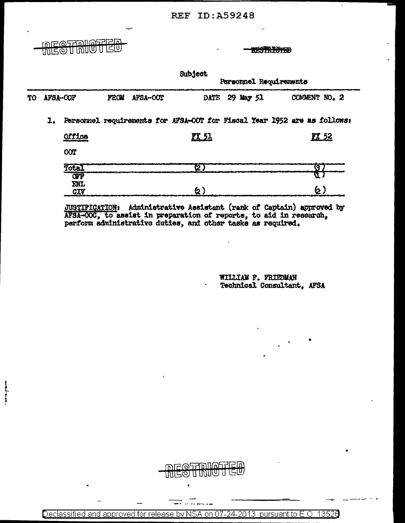**RESTRICTED** 

i<br>I

**RESTRIGHED** 

Subject

| TO |          |                     |             |          | Personnel Requirements |  |           |  |                                                                          |
|----|----------|---------------------|-------------|----------|------------------------|--|-----------|--|--------------------------------------------------------------------------|
|    | AFSA-COF |                     | <b>FROM</b> | AFSA-OOT | DATE                   |  | 29 May 51 |  | COMMENT NO. 2                                                            |
|    | ı.       |                     |             |          |                        |  |           |  | Personnel requirements for AFSA-OOT for Fiscal Year 1952 are as follows: |
|    |          | Office              |             |          | K 51                   |  |           |  | <b>KX 52</b>                                                             |
|    |          | <b>COT</b>          |             |          |                        |  |           |  |                                                                          |
|    |          | Total<br><b>OPF</b> |             |          | ष्टा                   |  |           |  | $\mathbf{G}$<br>u                                                        |
|    |          | <b>ENL</b><br>CIV   |             |          | <b>(2</b> )            |  |           |  | 6)                                                                       |
|    |          |                     |             |          |                        |  |           |  |                                                                          |

JUSTIFICATION: Administrative Assistant (rank of Captain) approved by AFSA-OOC, to assist in preparation of reports, to aid in research, perform administrative duties, and other tasks as required.

WILLIAM F. FRIEDMAN Technical Consultant, AFSA



 $\frac{1}{2}$ 

Declassified and approved for release by NSA on 07-24-2013 pursuant to E.O. 13526

 $\bullet$ 

<del>. .</del> . . . .